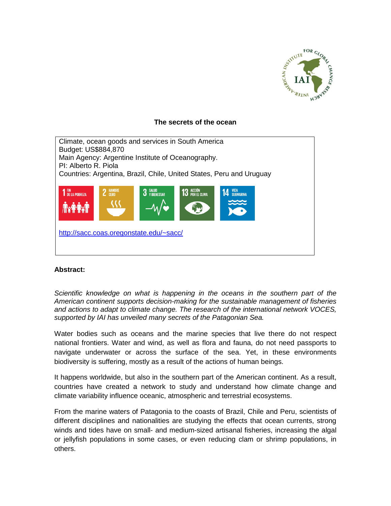

## **The secrets of the ocean**

Climate, ocean goods and services in South America Budget: US\$884,870 Main Agency: Argentine Institute of Oceanography. PI: Alberto R. Piola Countries: Argentina, Brazil, Chile, United States, Peru and Uruguay 3 SALUD<br>3 V RIENESTAR 13 ACCIÓN<br>13 POR EL CLIMA **1** FIN<br>De la pobreza  $\overline{\phantom{a}}$ <http://sacc.coas.oregonstate.edu/~sacc/>

## **Abstract:**

*Scientific knowledge on what is happening in the oceans in the southern part of the American continent supports decision-making for the sustainable management of fisheries and actions to adapt to climate change. The research of the international network VOCES, supported by IAI has unveiled many secrets of the Patagonian Sea.*

Water bodies such as oceans and the marine species that live there do not respect national frontiers. Water and wind, as well as flora and fauna, do not need passports to navigate underwater or across the surface of the sea. Yet, in these environments biodiversity is suffering, mostly as a result of the actions of human beings.

It happens worldwide, but also in the southern part of the American continent. As a result, countries have created a network to study and understand how climate change and climate variability influence oceanic, atmospheric and terrestrial ecosystems.

From the marine waters of Patagonia to the coasts of Brazil, Chile and Peru, scientists of different disciplines and nationalities are studying the effects that ocean currents, strong winds and tides have on small- and medium-sized artisanal fisheries, increasing the algal or jellyfish populations in some cases, or even reducing clam or shrimp populations, in others.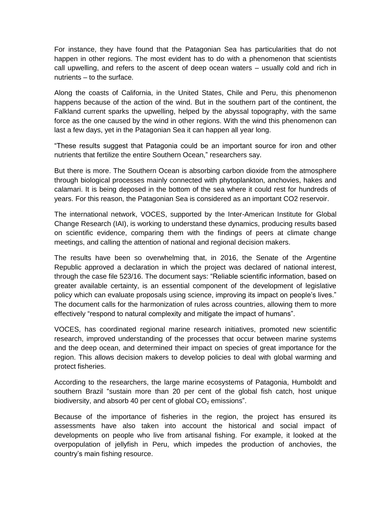For instance, they have found that the Patagonian Sea has particularities that do not happen in other regions. The most evident has to do with a phenomenon that scientists call upwelling, and refers to the ascent of deep ocean waters – usually cold and rich in nutrients – to the surface.

Along the coasts of California, in the United States, Chile and Peru, this phenomenon happens because of the action of the wind. But in the southern part of the continent, the Falkland current sparks the upwelling, helped by the abyssal topography, with the same force as the one caused by the wind in other regions. With the wind this phenomenon can last a few days, yet in the Patagonian Sea it can happen all year long.

"These results suggest that Patagonia could be an important source for iron and other nutrients that fertilize the entire Southern Ocean," researchers say.

But there is more. The Southern Ocean is absorbing carbon dioxide from the atmosphere through biological processes mainly connected with phytoplankton, anchovies, hakes and calamari. It is being deposed in the bottom of the sea where it could rest for hundreds of years. For this reason, the Patagonian Sea is considered as an important CO2 reservoir.

The international network, VOCES, supported by the Inter-American Institute for Global Change Research (IAI), is working to understand these dynamics, producing results based on scientific evidence, comparing them with the findings of peers at climate change meetings, and calling the attention of national and regional decision makers.

The results have been so overwhelming that, in 2016, the Senate of the Argentine Republic approved a declaration in which the project was declared of national interest, through the case file 523/16. The document says: "Reliable scientific information, based on greater available certainty, is an essential component of the development of legislative policy which can evaluate proposals using science, improving its impact on people's lives." The document calls for the harmonization of rules across countries, allowing them to more effectively "respond to natural complexity and mitigate the impact of humans".

VOCES, has coordinated regional marine research initiatives, promoted new scientific research, improved understanding of the processes that occur between marine systems and the deep ocean, and determined their impact on species of great importance for the region. This allows decision makers to develop policies to deal with global warming and protect fisheries.

According to the researchers, the large marine ecosystems of Patagonia, Humboldt and southern Brazil "sustain more than 20 per cent of the global fish catch, host unique biodiversity, and absorb 40 per cent of global  $CO<sub>2</sub>$  emissions".

Because of the importance of fisheries in the region, the project has ensured its assessments have also taken into account the historical and social impact of developments on people who live from artisanal fishing. For example, it looked at the overpopulation of jellyfish in Peru, which impedes the production of anchovies, the country's main fishing resource.